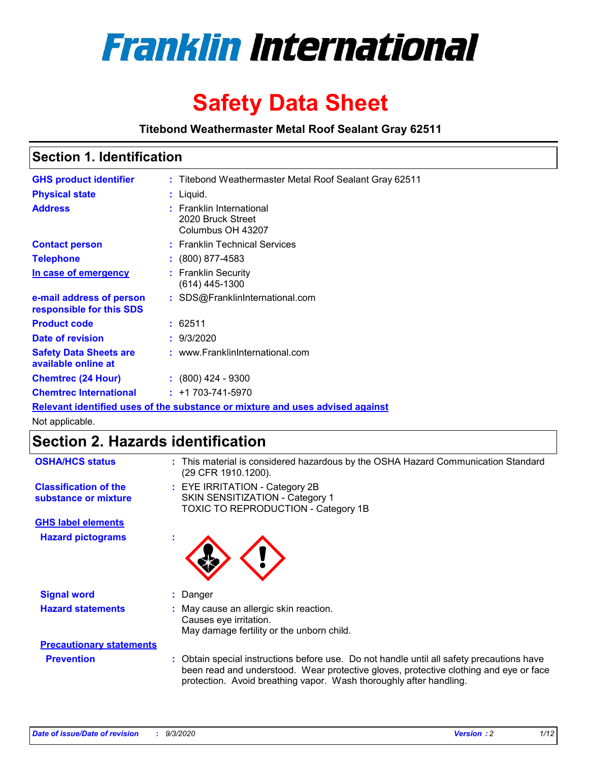

# **Safety Data Sheet**

**Titebond Weathermaster Metal Roof Sealant Gray 62511**

### **Section 1. Identification**

| <b>GHS product identifier</b>                                                 |  | : Titebond Weathermaster Metal Roof Sealant Gray 62511             |  |  |
|-------------------------------------------------------------------------------|--|--------------------------------------------------------------------|--|--|
| <b>Physical state</b>                                                         |  | : Liquid.                                                          |  |  |
| <b>Address</b>                                                                |  | : Franklin International<br>2020 Bruck Street<br>Columbus OH 43207 |  |  |
| <b>Contact person</b>                                                         |  | : Franklin Technical Services                                      |  |  |
| <b>Telephone</b>                                                              |  | $\div$ (800) 877-4583                                              |  |  |
| In case of emergency                                                          |  | : Franklin Security<br>(614) 445-1300                              |  |  |
| e-mail address of person<br>responsible for this SDS                          |  | : SDS@FranklinInternational.com                                    |  |  |
| <b>Product code</b>                                                           |  | : 62511                                                            |  |  |
| Date of revision                                                              |  | : 9/3/2020                                                         |  |  |
| <b>Safety Data Sheets are</b><br>available online at                          |  | : www.FranklinInternational.com                                    |  |  |
| <b>Chemtrec (24 Hour)</b>                                                     |  | $: (800)$ 424 - 9300                                               |  |  |
| <b>Chemtrec International</b>                                                 |  | $: +1703 - 741 - 5970$                                             |  |  |
| Relevant identified uses of the substance or mixture and uses advised against |  |                                                                    |  |  |

Not applicable.

### **Section 2. Hazards identification**

| <b>OSHA/HCS status</b>                               |    | : This material is considered hazardous by the OSHA Hazard Communication Standard<br>(29 CFR 1910.1200).                                                                                                                                                 |
|------------------------------------------------------|----|----------------------------------------------------------------------------------------------------------------------------------------------------------------------------------------------------------------------------------------------------------|
| <b>Classification of the</b><br>substance or mixture |    | : EYE IRRITATION - Category 2B<br>SKIN SENSITIZATION - Category 1<br>TOXIC TO REPRODUCTION - Category 1B                                                                                                                                                 |
| <b>GHS label elements</b>                            |    |                                                                                                                                                                                                                                                          |
| <b>Hazard pictograms</b>                             | ٠  |                                                                                                                                                                                                                                                          |
| <b>Signal word</b>                                   | ÷. | Danger                                                                                                                                                                                                                                                   |
| <b>Hazard statements</b>                             |    | May cause an allergic skin reaction.<br>Causes eye irritation.<br>May damage fertility or the unborn child.                                                                                                                                              |
| <b>Precautionary statements</b>                      |    |                                                                                                                                                                                                                                                          |
| <b>Prevention</b>                                    |    | : Obtain special instructions before use. Do not handle until all safety precautions have<br>been read and understood. Wear protective gloves, protective clothing and eye or face<br>protection. Avoid breathing vapor. Wash thoroughly after handling. |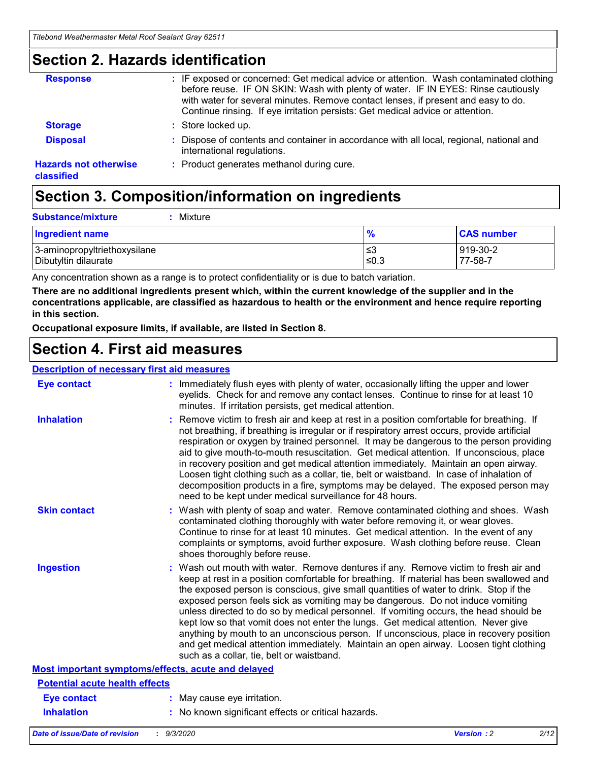### **Section 2. Hazards identification**

| <b>Response</b>                            | : IF exposed or concerned: Get medical advice or attention. Wash contaminated clothing<br>before reuse. IF ON SKIN: Wash with plenty of water. IF IN EYES: Rinse cautiously<br>with water for several minutes. Remove contact lenses, if present and easy to do.<br>Continue rinsing. If eye irritation persists: Get medical advice or attention. |
|--------------------------------------------|----------------------------------------------------------------------------------------------------------------------------------------------------------------------------------------------------------------------------------------------------------------------------------------------------------------------------------------------------|
| <b>Storage</b>                             | : Store locked up.                                                                                                                                                                                                                                                                                                                                 |
| <b>Disposal</b>                            | : Dispose of contents and container in accordance with all local, regional, national and<br>international regulations.                                                                                                                                                                                                                             |
| <b>Hazards not otherwise</b><br>classified | : Product generates methanol during cure.                                                                                                                                                                                                                                                                                                          |

## **Section 3. Composition/information on ingredients**

| <b>Substance/mixture</b> | : Mixture |
|--------------------------|-----------|
|                          |           |

| <b>Ingredient name</b>       | $\mathbf{0}$<br>70 | <b>CAS number</b> |
|------------------------------|--------------------|-------------------|
| 3-aminopropyltriethoxysilane | צ≥                 | 919-30-2          |
| Dibutyltin dilaurate         | ∣≤0.3              | 77-58-7           |

Any concentration shown as a range is to protect confidentiality or is due to batch variation.

**There are no additional ingredients present which, within the current knowledge of the supplier and in the concentrations applicable, are classified as hazardous to health or the environment and hence require reporting in this section.**

**Occupational exposure limits, if available, are listed in Section 8.**

### **Section 4. First aid measures**

| <b>Description of necessary first aid measures</b> |                                                                                                                                                                                                                                                                                                                                                                                                                                                                                                                                                                                                                                                                                                                                                                           |
|----------------------------------------------------|---------------------------------------------------------------------------------------------------------------------------------------------------------------------------------------------------------------------------------------------------------------------------------------------------------------------------------------------------------------------------------------------------------------------------------------------------------------------------------------------------------------------------------------------------------------------------------------------------------------------------------------------------------------------------------------------------------------------------------------------------------------------------|
| <b>Eye contact</b>                                 | : Immediately flush eyes with plenty of water, occasionally lifting the upper and lower<br>eyelids. Check for and remove any contact lenses. Continue to rinse for at least 10<br>minutes. If irritation persists, get medical attention.                                                                                                                                                                                                                                                                                                                                                                                                                                                                                                                                 |
| <b>Inhalation</b>                                  | : Remove victim to fresh air and keep at rest in a position comfortable for breathing. If<br>not breathing, if breathing is irregular or if respiratory arrest occurs, provide artificial<br>respiration or oxygen by trained personnel. It may be dangerous to the person providing<br>aid to give mouth-to-mouth resuscitation. Get medical attention. If unconscious, place<br>in recovery position and get medical attention immediately. Maintain an open airway.<br>Loosen tight clothing such as a collar, tie, belt or waistband. In case of inhalation of<br>decomposition products in a fire, symptoms may be delayed. The exposed person may<br>need to be kept under medical surveillance for 48 hours.                                                       |
| <b>Skin contact</b>                                | : Wash with plenty of soap and water. Remove contaminated clothing and shoes. Wash<br>contaminated clothing thoroughly with water before removing it, or wear gloves.<br>Continue to rinse for at least 10 minutes. Get medical attention. In the event of any<br>complaints or symptoms, avoid further exposure. Wash clothing before reuse. Clean<br>shoes thoroughly before reuse.                                                                                                                                                                                                                                                                                                                                                                                     |
| <b>Ingestion</b>                                   | : Wash out mouth with water. Remove dentures if any. Remove victim to fresh air and<br>keep at rest in a position comfortable for breathing. If material has been swallowed and<br>the exposed person is conscious, give small quantities of water to drink. Stop if the<br>exposed person feels sick as vomiting may be dangerous. Do not induce vomiting<br>unless directed to do so by medical personnel. If vomiting occurs, the head should be<br>kept low so that vomit does not enter the lungs. Get medical attention. Never give<br>anything by mouth to an unconscious person. If unconscious, place in recovery position<br>and get medical attention immediately. Maintain an open airway. Loosen tight clothing<br>such as a collar, tie, belt or waistband. |
| Most important symptoms/effects, acute and delayed |                                                                                                                                                                                                                                                                                                                                                                                                                                                                                                                                                                                                                                                                                                                                                                           |
| <b>Potential acute health effects</b>              |                                                                                                                                                                                                                                                                                                                                                                                                                                                                                                                                                                                                                                                                                                                                                                           |
| <b>Eye contact</b>                                 | : May cause eye irritation.                                                                                                                                                                                                                                                                                                                                                                                                                                                                                                                                                                                                                                                                                                                                               |
| <b>Inhalation</b>                                  | : No known significant effects or critical hazards.                                                                                                                                                                                                                                                                                                                                                                                                                                                                                                                                                                                                                                                                                                                       |
|                                                    |                                                                                                                                                                                                                                                                                                                                                                                                                                                                                                                                                                                                                                                                                                                                                                           |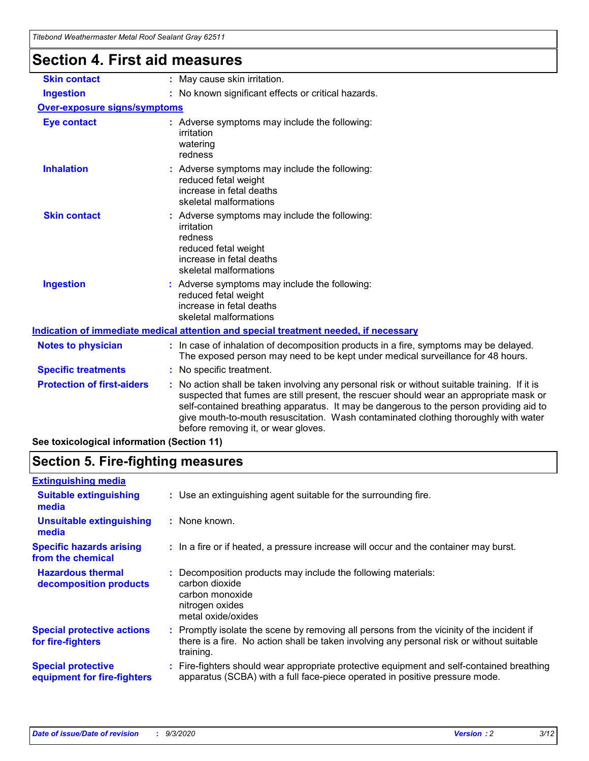| <b>Section 4. First aid measures</b> | <u>Hiebona Wealhenhasier Melar Koor Sealahi Gray 02011</u>                                                                                                                                                                                                                                                                                                                                                      |
|--------------------------------------|-----------------------------------------------------------------------------------------------------------------------------------------------------------------------------------------------------------------------------------------------------------------------------------------------------------------------------------------------------------------------------------------------------------------|
|                                      |                                                                                                                                                                                                                                                                                                                                                                                                                 |
| <b>Skin contact</b>                  | : May cause skin irritation.                                                                                                                                                                                                                                                                                                                                                                                    |
| <b>Ingestion</b>                     | : No known significant effects or critical hazards.                                                                                                                                                                                                                                                                                                                                                             |
| <b>Over-exposure signs/symptoms</b>  |                                                                                                                                                                                                                                                                                                                                                                                                                 |
| <b>Eye contact</b>                   | : Adverse symptoms may include the following:<br>irritation<br>watering<br>redness                                                                                                                                                                                                                                                                                                                              |
| <b>Inhalation</b>                    | : Adverse symptoms may include the following:<br>reduced fetal weight<br>increase in fetal deaths<br>skeletal malformations                                                                                                                                                                                                                                                                                     |
| <b>Skin contact</b>                  | : Adverse symptoms may include the following:<br>irritation<br>redness<br>reduced fetal weight<br>increase in fetal deaths<br>skeletal malformations                                                                                                                                                                                                                                                            |
| <b>Ingestion</b>                     | : Adverse symptoms may include the following:<br>reduced fetal weight<br>increase in fetal deaths<br>skeletal malformations                                                                                                                                                                                                                                                                                     |
|                                      | Indication of immediate medical attention and special treatment needed, if necessary                                                                                                                                                                                                                                                                                                                            |
| <b>Notes to physician</b>            | : In case of inhalation of decomposition products in a fire, symptoms may be delayed.<br>The exposed person may need to be kept under medical surveillance for 48 hours.                                                                                                                                                                                                                                        |
| <b>Specific treatments</b>           | : No specific treatment.                                                                                                                                                                                                                                                                                                                                                                                        |
| <b>Protection of first-aiders</b>    | : No action shall be taken involving any personal risk or without suitable training. If it is<br>suspected that fumes are still present, the rescuer should wear an appropriate mask or<br>self-contained breathing apparatus. It may be dangerous to the person providing aid to<br>give mouth-to-mouth resuscitation. Wash contaminated clothing thoroughly with water<br>before removing it, or wear gloves. |

**See toxicological information (Section 11)**

### **Section 5. Fire-fighting measures**

| <b>Extinguishing media</b>                               |                                                                                                                                                                                                     |
|----------------------------------------------------------|-----------------------------------------------------------------------------------------------------------------------------------------------------------------------------------------------------|
| <b>Suitable extinguishing</b><br>media                   | : Use an extinguishing agent suitable for the surrounding fire.                                                                                                                                     |
| <b>Unsuitable extinguishing</b><br>media                 | : None known.                                                                                                                                                                                       |
| <b>Specific hazards arising</b><br>from the chemical     | : In a fire or if heated, a pressure increase will occur and the container may burst.                                                                                                               |
| <b>Hazardous thermal</b><br>decomposition products       | : Decomposition products may include the following materials:<br>carbon dioxide<br>carbon monoxide<br>nitrogen oxides<br>metal oxide/oxides                                                         |
| <b>Special protective actions</b><br>for fire-fighters   | : Promptly isolate the scene by removing all persons from the vicinity of the incident if<br>there is a fire. No action shall be taken involving any personal risk or without suitable<br>training. |
| <b>Special protective</b><br>equipment for fire-fighters | Fire-fighters should wear appropriate protective equipment and self-contained breathing<br>apparatus (SCBA) with a full face-piece operated in positive pressure mode.                              |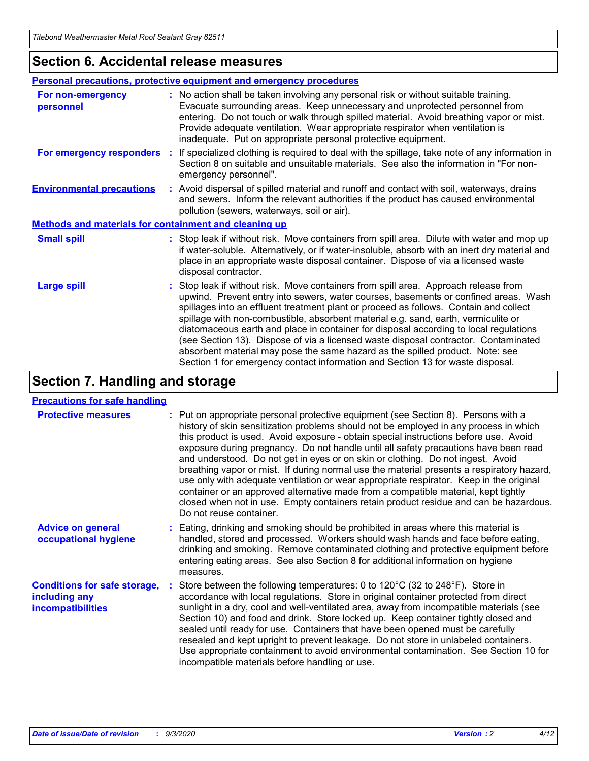### **Section 6. Accidental release measures**

|                                                              | <b>Personal precautions, protective equipment and emergency procedures</b>                                                                                                                                                                                                                                                                                                                                                                                                                                                                                                                                                                                                                                   |  |  |  |
|--------------------------------------------------------------|--------------------------------------------------------------------------------------------------------------------------------------------------------------------------------------------------------------------------------------------------------------------------------------------------------------------------------------------------------------------------------------------------------------------------------------------------------------------------------------------------------------------------------------------------------------------------------------------------------------------------------------------------------------------------------------------------------------|--|--|--|
| For non-emergency<br>personnel                               | : No action shall be taken involving any personal risk or without suitable training.<br>Evacuate surrounding areas. Keep unnecessary and unprotected personnel from<br>entering. Do not touch or walk through spilled material. Avoid breathing vapor or mist.<br>Provide adequate ventilation. Wear appropriate respirator when ventilation is<br>inadequate. Put on appropriate personal protective equipment.                                                                                                                                                                                                                                                                                             |  |  |  |
| For emergency responders                                     | : If specialized clothing is required to deal with the spillage, take note of any information in<br>Section 8 on suitable and unsuitable materials. See also the information in "For non-<br>emergency personnel".                                                                                                                                                                                                                                                                                                                                                                                                                                                                                           |  |  |  |
| <b>Environmental precautions</b>                             | : Avoid dispersal of spilled material and runoff and contact with soil, waterways, drains<br>and sewers. Inform the relevant authorities if the product has caused environmental<br>pollution (sewers, waterways, soil or air).                                                                                                                                                                                                                                                                                                                                                                                                                                                                              |  |  |  |
| <b>Methods and materials for containment and cleaning up</b> |                                                                                                                                                                                                                                                                                                                                                                                                                                                                                                                                                                                                                                                                                                              |  |  |  |
| <b>Small spill</b>                                           | : Stop leak if without risk. Move containers from spill area. Dilute with water and mop up<br>if water-soluble. Alternatively, or if water-insoluble, absorb with an inert dry material and<br>place in an appropriate waste disposal container. Dispose of via a licensed waste<br>disposal contractor.                                                                                                                                                                                                                                                                                                                                                                                                     |  |  |  |
| <b>Large spill</b>                                           | : Stop leak if without risk. Move containers from spill area. Approach release from<br>upwind. Prevent entry into sewers, water courses, basements or confined areas. Wash<br>spillages into an effluent treatment plant or proceed as follows. Contain and collect<br>spillage with non-combustible, absorbent material e.g. sand, earth, vermiculite or<br>diatomaceous earth and place in container for disposal according to local regulations<br>(see Section 13). Dispose of via a licensed waste disposal contractor. Contaminated<br>absorbent material may pose the same hazard as the spilled product. Note: see<br>Section 1 for emergency contact information and Section 13 for waste disposal. |  |  |  |

### **Section 7. Handling and storage**

### **Precautions for safe handling**

| <b>Protective measures</b>                                                       | : Put on appropriate personal protective equipment (see Section 8). Persons with a<br>history of skin sensitization problems should not be employed in any process in which<br>this product is used. Avoid exposure - obtain special instructions before use. Avoid<br>exposure during pregnancy. Do not handle until all safety precautions have been read<br>and understood. Do not get in eyes or on skin or clothing. Do not ingest. Avoid<br>breathing vapor or mist. If during normal use the material presents a respiratory hazard,<br>use only with adequate ventilation or wear appropriate respirator. Keep in the original<br>container or an approved alternative made from a compatible material, kept tightly<br>closed when not in use. Empty containers retain product residue and can be hazardous.<br>Do not reuse container. |
|----------------------------------------------------------------------------------|--------------------------------------------------------------------------------------------------------------------------------------------------------------------------------------------------------------------------------------------------------------------------------------------------------------------------------------------------------------------------------------------------------------------------------------------------------------------------------------------------------------------------------------------------------------------------------------------------------------------------------------------------------------------------------------------------------------------------------------------------------------------------------------------------------------------------------------------------|
| <b>Advice on general</b><br>occupational hygiene                                 | : Eating, drinking and smoking should be prohibited in areas where this material is<br>handled, stored and processed. Workers should wash hands and face before eating,<br>drinking and smoking. Remove contaminated clothing and protective equipment before<br>entering eating areas. See also Section 8 for additional information on hygiene<br>measures.                                                                                                                                                                                                                                                                                                                                                                                                                                                                                    |
| <b>Conditions for safe storage,</b><br>including any<br><i>incompatibilities</i> | Store between the following temperatures: 0 to 120°C (32 to 248°F). Store in<br>accordance with local regulations. Store in original container protected from direct<br>sunlight in a dry, cool and well-ventilated area, away from incompatible materials (see<br>Section 10) and food and drink. Store locked up. Keep container tightly closed and<br>sealed until ready for use. Containers that have been opened must be carefully<br>resealed and kept upright to prevent leakage. Do not store in unlabeled containers.<br>Use appropriate containment to avoid environmental contamination. See Section 10 for<br>incompatible materials before handling or use.                                                                                                                                                                         |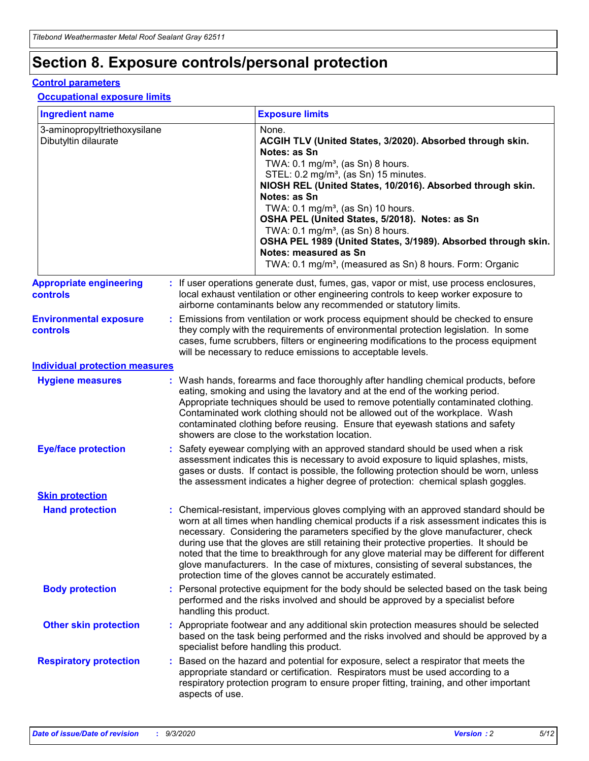## **Section 8. Exposure controls/personal protection**

### **Control parameters**

#### **Occupational exposure limits**

| <b>Ingredient name</b>                               |    |                        | <b>Exposure limits</b>                                                                                                                                                                                                                                                                                                                                                                                                                                                                                                                                                                                                 |
|------------------------------------------------------|----|------------------------|------------------------------------------------------------------------------------------------------------------------------------------------------------------------------------------------------------------------------------------------------------------------------------------------------------------------------------------------------------------------------------------------------------------------------------------------------------------------------------------------------------------------------------------------------------------------------------------------------------------------|
| 3-aminopropyltriethoxysilane<br>Dibutyltin dilaurate |    |                        | None.<br>ACGIH TLV (United States, 3/2020). Absorbed through skin.<br>Notes: as Sn<br>TWA: $0.1 \text{ mg/m}^3$ , (as Sn) 8 hours.<br>STEL: 0.2 mg/m <sup>3</sup> , (as Sn) 15 minutes.<br>NIOSH REL (United States, 10/2016). Absorbed through skin.<br>Notes: as Sn<br>TWA: 0.1 mg/m <sup>3</sup> , (as Sn) 10 hours.<br>OSHA PEL (United States, 5/2018). Notes: as Sn<br>TWA: 0.1 mg/m <sup>3</sup> , (as Sn) 8 hours.<br>OSHA PEL 1989 (United States, 3/1989). Absorbed through skin.<br>Notes: measured as Sn<br>TWA: 0.1 mg/m <sup>3</sup> , (measured as Sn) 8 hours. Form: Organic                           |
| <b>Appropriate engineering</b><br>controls           |    |                        | : If user operations generate dust, fumes, gas, vapor or mist, use process enclosures,<br>local exhaust ventilation or other engineering controls to keep worker exposure to<br>airborne contaminants below any recommended or statutory limits.                                                                                                                                                                                                                                                                                                                                                                       |
| <b>Environmental exposure</b><br>controls            |    |                        | Emissions from ventilation or work process equipment should be checked to ensure<br>they comply with the requirements of environmental protection legislation. In some<br>cases, fume scrubbers, filters or engineering modifications to the process equipment<br>will be necessary to reduce emissions to acceptable levels.                                                                                                                                                                                                                                                                                          |
| <b>Individual protection measures</b>                |    |                        |                                                                                                                                                                                                                                                                                                                                                                                                                                                                                                                                                                                                                        |
| <b>Hygiene measures</b>                              |    |                        | : Wash hands, forearms and face thoroughly after handling chemical products, before<br>eating, smoking and using the lavatory and at the end of the working period.<br>Appropriate techniques should be used to remove potentially contaminated clothing.<br>Contaminated work clothing should not be allowed out of the workplace. Wash<br>contaminated clothing before reusing. Ensure that eyewash stations and safety<br>showers are close to the workstation location.                                                                                                                                            |
| <b>Eye/face protection</b>                           |    |                        | Safety eyewear complying with an approved standard should be used when a risk<br>assessment indicates this is necessary to avoid exposure to liquid splashes, mists,<br>gases or dusts. If contact is possible, the following protection should be worn, unless<br>the assessment indicates a higher degree of protection: chemical splash goggles.                                                                                                                                                                                                                                                                    |
| <b>Skin protection</b>                               |    |                        |                                                                                                                                                                                                                                                                                                                                                                                                                                                                                                                                                                                                                        |
| <b>Hand protection</b>                               |    |                        | : Chemical-resistant, impervious gloves complying with an approved standard should be<br>worn at all times when handling chemical products if a risk assessment indicates this is<br>necessary. Considering the parameters specified by the glove manufacturer, check<br>during use that the gloves are still retaining their protective properties. It should be<br>noted that the time to breakthrough for any glove material may be different for different<br>glove manufacturers. In the case of mixtures, consisting of several substances, the<br>protection time of the gloves cannot be accurately estimated. |
| <b>Body protection</b>                               |    | handling this product. | Personal protective equipment for the body should be selected based on the task being<br>performed and the risks involved and should be approved by a specialist before                                                                                                                                                                                                                                                                                                                                                                                                                                                |
| <b>Other skin protection</b>                         |    |                        | : Appropriate footwear and any additional skin protection measures should be selected<br>based on the task being performed and the risks involved and should be approved by a<br>specialist before handling this product.                                                                                                                                                                                                                                                                                                                                                                                              |
| <b>Respiratory protection</b>                        | ÷. | aspects of use.        | Based on the hazard and potential for exposure, select a respirator that meets the<br>appropriate standard or certification. Respirators must be used according to a<br>respiratory protection program to ensure proper fitting, training, and other important                                                                                                                                                                                                                                                                                                                                                         |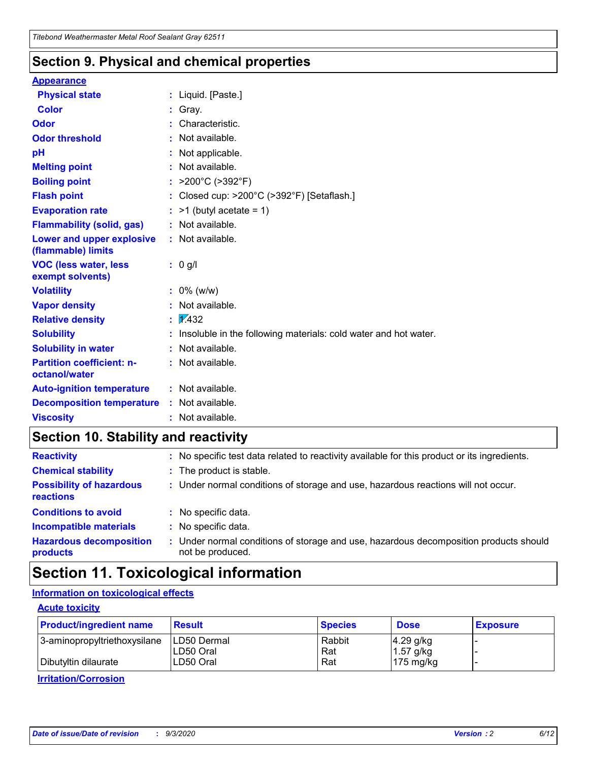### **Section 9. Physical and chemical properties**

#### **Appearance**

| <b>Physical state</b>                             | : Liquid. [Paste.]                                              |
|---------------------------------------------------|-----------------------------------------------------------------|
| <b>Color</b>                                      | Gray.                                                           |
| Odor                                              | Characteristic.                                                 |
| <b>Odor threshold</b>                             | Not available.                                                  |
| рH                                                | Not applicable.                                                 |
| <b>Melting point</b>                              | : Not available.                                                |
| <b>Boiling point</b>                              | >200°C (>392°F)                                                 |
| <b>Flash point</b>                                | Closed cup: >200°C (>392°F) [Setaflash.]                        |
| <b>Evaporation rate</b>                           | $:$ >1 (butyl acetate = 1)                                      |
| <b>Flammability (solid, gas)</b>                  | : Not available.                                                |
| Lower and upper explosive<br>(flammable) limits   | : Not available.                                                |
| <b>VOC (less water, less)</b><br>exempt solvents) | : 0 g/l                                                         |
| <b>Volatility</b>                                 | $: 0\%$ (w/w)                                                   |
| <b>Vapor density</b>                              | Not available.                                                  |
| <b>Relative density</b>                           | $\mathbf{1}$ $\mathbf{\sqrt{432}}$                              |
| <b>Solubility</b>                                 | Insoluble in the following materials: cold water and hot water. |
| <b>Solubility in water</b>                        | Not available.                                                  |
| <b>Partition coefficient: n-</b><br>octanol/water | $:$ Not available.                                              |
| <b>Auto-ignition temperature</b>                  | : Not available.                                                |
| <b>Decomposition temperature</b>                  | : Not available.                                                |
| <b>Viscosity</b>                                  | $:$ Not available.                                              |

### **Section 10. Stability and reactivity**

| <b>Reactivity</b>                            |    | : No specific test data related to reactivity available for this product or its ingredients.            |
|----------------------------------------------|----|---------------------------------------------------------------------------------------------------------|
| <b>Chemical stability</b>                    |    | : The product is stable.                                                                                |
| <b>Possibility of hazardous</b><br>reactions |    | : Under normal conditions of storage and use, hazardous reactions will not occur.                       |
| <b>Conditions to avoid</b>                   |    | : No specific data.                                                                                     |
| <b>Incompatible materials</b>                | ٠. | No specific data.                                                                                       |
| <b>Hazardous decomposition</b><br>products   | ÷. | Under normal conditions of storage and use, hazardous decomposition products should<br>not be produced. |

### **Section 11. Toxicological information**

### **Information on toxicological effects**

### **Acute toxicity**

| <b>Product/ingredient name</b> | <b>Result</b>           | <b>Species</b> | <b>Dose</b>                | <b>Exposure</b> |
|--------------------------------|-------------------------|----------------|----------------------------|-----------------|
| 3-aminopropyltriethoxysilane   | <b>ILD50 Dermal</b>     | Rabbit         | 4.29 g/kg                  |                 |
| Dibutyltin dilaurate           | ILD50 Oral<br>LD50 Oral | Rat<br>Rat     | $1.57$ g/kg<br>175 $mg/kg$ |                 |
|                                |                         |                |                            |                 |

**Irritation/Corrosion**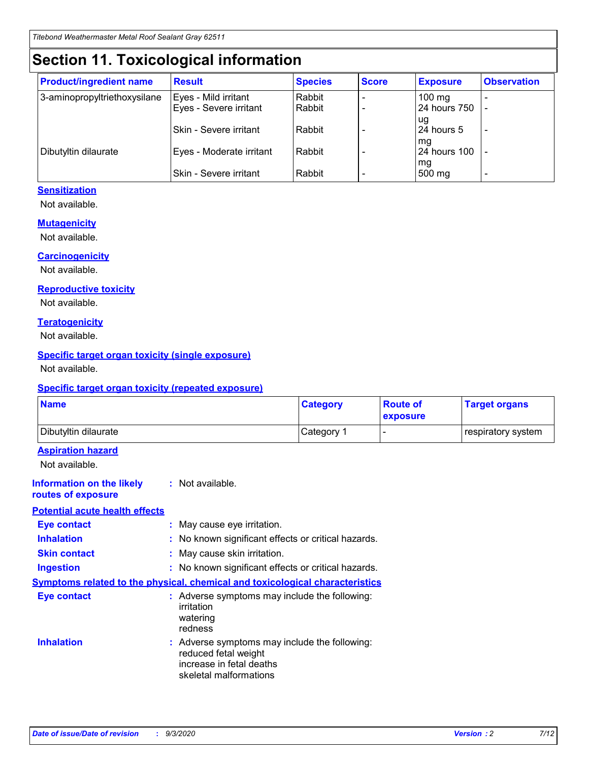## **Section 11. Toxicological information**

| <b>Product/ingredient name</b> | <b>Result</b>                 | <b>Species</b> | <b>Score</b> | <b>Exposure</b>    | <b>Observation</b>       |
|--------------------------------|-------------------------------|----------------|--------------|--------------------|--------------------------|
| 3-aminopropyltriethoxysilane   | Eyes - Mild irritant          | Rabbit         |              | $100 \text{ mg}$   |                          |
|                                | Eyes - Severe irritant        | Rabbit         |              | 24 hours 750       |                          |
|                                |                               |                |              | ug                 |                          |
|                                | <b>Skin - Severe irritant</b> | Rabbit         |              | 24 hours 5         | $\overline{\phantom{a}}$ |
| Dibutyltin dilaurate           | Eyes - Moderate irritant      | Rabbit         |              | mg<br>24 hours 100 |                          |
|                                |                               |                |              | mg                 |                          |
|                                | Skin - Severe irritant        | Rabbit         |              | 500 mg             | -                        |

### **Sensitization**

Not available.

### **Mutagenicity**

Not available.

### **Carcinogenicity**

Not available.

#### **Reproductive toxicity**

Not available.

### **Teratogenicity**

Not available.

### **Specific target organ toxicity (single exposure)**

Not available.

### **Specific target organ toxicity (repeated exposure)**

| <b>Name</b>                                                                         |                                                                            | <b>Category</b>                                     | <b>Route of</b><br>exposure | <b>Target organs</b> |  |  |
|-------------------------------------------------------------------------------------|----------------------------------------------------------------------------|-----------------------------------------------------|-----------------------------|----------------------|--|--|
| Dibutyltin dilaurate                                                                |                                                                            | Category 1                                          | -                           | respiratory system   |  |  |
| <b>Aspiration hazard</b><br>Not available.                                          |                                                                            |                                                     |                             |                      |  |  |
| <b>Information on the likely</b><br>routes of exposure                              | : Not available.                                                           |                                                     |                             |                      |  |  |
| <b>Potential acute health effects</b>                                               |                                                                            |                                                     |                             |                      |  |  |
| <b>Eye contact</b>                                                                  | : May cause eye irritation.                                                |                                                     |                             |                      |  |  |
| <b>Inhalation</b>                                                                   |                                                                            | : No known significant effects or critical hazards. |                             |                      |  |  |
| <b>Skin contact</b>                                                                 |                                                                            | : May cause skin irritation.                        |                             |                      |  |  |
| <b>Ingestion</b>                                                                    |                                                                            | : No known significant effects or critical hazards. |                             |                      |  |  |
| <b>Symptoms related to the physical, chemical and toxicological characteristics</b> |                                                                            |                                                     |                             |                      |  |  |
| <b>Eye contact</b>                                                                  | irritation<br>watering<br>redness                                          | : Adverse symptoms may include the following:       |                             |                      |  |  |
| <b>Inhalation</b>                                                                   | reduced fetal weight<br>increase in fetal deaths<br>skeletal malformations | : Adverse symptoms may include the following:       |                             |                      |  |  |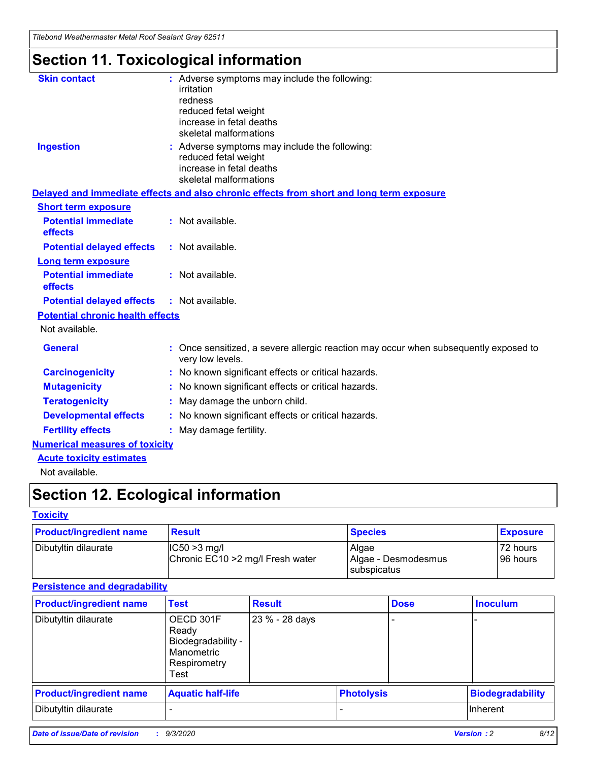*Titebond Weathermaster Metal Roof Sealant Gray 62511*

## **Section 11. Toxicological information**

| <b>Skin contact</b>                     | : Adverse symptoms may include the following:<br>irritation                                                                 |  |
|-----------------------------------------|-----------------------------------------------------------------------------------------------------------------------------|--|
|                                         | redness                                                                                                                     |  |
|                                         | reduced fetal weight<br>increase in fetal deaths                                                                            |  |
|                                         | skeletal malformations                                                                                                      |  |
| <b>Ingestion</b>                        | : Adverse symptoms may include the following:<br>reduced fetal weight<br>increase in fetal deaths<br>skeletal malformations |  |
|                                         | Delayed and immediate effects and also chronic effects from short and long term exposure                                    |  |
| <b>Short term exposure</b>              |                                                                                                                             |  |
| <b>Potential immediate</b><br>effects   | : Not available.                                                                                                            |  |
| <b>Potential delayed effects</b>        | : Not available.                                                                                                            |  |
| <b>Long term exposure</b>               |                                                                                                                             |  |
| <b>Potential immediate</b><br>effects   | : Not available.                                                                                                            |  |
| <b>Potential delayed effects</b>        | : Not available.                                                                                                            |  |
| <b>Potential chronic health effects</b> |                                                                                                                             |  |
| Not available.                          |                                                                                                                             |  |
| <b>General</b>                          | Once sensitized, a severe allergic reaction may occur when subsequently exposed to<br>very low levels.                      |  |
| <b>Carcinogenicity</b>                  | : No known significant effects or critical hazards.                                                                         |  |
| <b>Mutagenicity</b>                     | : No known significant effects or critical hazards.                                                                         |  |
| <b>Teratogenicity</b>                   | May damage the unborn child.                                                                                                |  |
| <b>Developmental effects</b>            | : No known significant effects or critical hazards.                                                                         |  |
| <b>Fertility effects</b>                | May damage fertility.                                                                                                       |  |
| <b>Numerical measures of toxicity</b>   |                                                                                                                             |  |
| <b>Acute toxicity estimates</b>         |                                                                                                                             |  |
| الملحلة والمستحقق فالمرابط              |                                                                                                                             |  |

Not available.

## **Section 12. Ecological information**

### **Toxicity**

| <b>Product/ingredient name</b> | <b>Result</b>                                       | <b>Species</b>               | <b>Exposure</b>       |
|--------------------------------|-----------------------------------------------------|------------------------------|-----------------------|
| Dibutyltin dilaurate           | $ CC50>3$ mg/l<br>Chronic EC10 > 2 mg/l Fresh water | Algae<br>Algae - Desmodesmus | 72 hours<br>196 hours |
|                                |                                                     | <b>I</b> subspicatus         |                       |

### **Persistence and degradability**

| <b>Product/ingredient name</b> | <b>Test</b>                                                                    | <b>Result</b>  |                   | <b>Dose</b> | <b>Inoculum</b>         |
|--------------------------------|--------------------------------------------------------------------------------|----------------|-------------------|-------------|-------------------------|
| Dibutyltin dilaurate           | OECD 301F<br>Ready<br>Biodegradability -<br>Manometric<br>Respirometry<br>Test | 23 % - 28 days |                   |             |                         |
| <b>Product/ingredient name</b> | <b>Aquatic half-life</b>                                                       |                | <b>Photolysis</b> |             | <b>Biodegradability</b> |
| Dibutyltin dilaurate           |                                                                                |                |                   |             | <b>Inherent</b>         |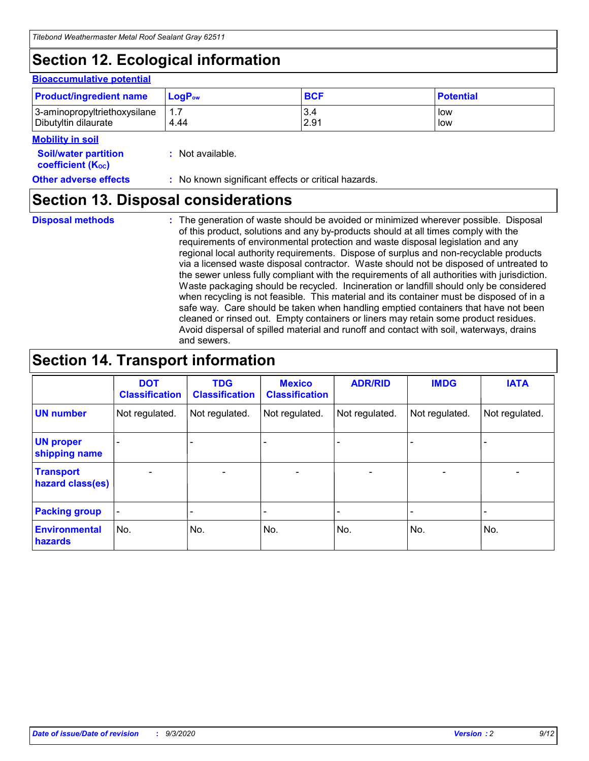## **Section 12. Ecological information**

#### **Bioaccumulative potential**

| <b>Product/ingredient name</b> | $\mathsf{LogP}_\mathsf{ow}$ | <b>BCF</b> | <b>Potential</b> |
|--------------------------------|-----------------------------|------------|------------------|
| 3-aminopropyltriethoxysilane   | 1.7                         | 3.4        | low              |
| Dibutyltin dilaurate           | 4.44                        | 2.91       | low              |

#### **Mobility in soil**

| <b>Soil/water partition</b> | : Not available. |
|-----------------------------|------------------|
| <b>coefficient (Koc)</b>    |                  |

#### **Other adverse effects** : No known significant effects or critical hazards.

### **Section 13. Disposal considerations**

**Disposal methods :**

The generation of waste should be avoided or minimized wherever possible. Disposal of this product, solutions and any by-products should at all times comply with the requirements of environmental protection and waste disposal legislation and any regional local authority requirements. Dispose of surplus and non-recyclable products via a licensed waste disposal contractor. Waste should not be disposed of untreated to the sewer unless fully compliant with the requirements of all authorities with jurisdiction. Waste packaging should be recycled. Incineration or landfill should only be considered when recycling is not feasible. This material and its container must be disposed of in a safe way. Care should be taken when handling emptied containers that have not been cleaned or rinsed out. Empty containers or liners may retain some product residues. Avoid dispersal of spilled material and runoff and contact with soil, waterways, drains and sewers.

### **Section 14. Transport information**

|                                      | <b>DOT</b><br><b>Classification</b> | <b>TDG</b><br><b>Classification</b> | <b>Mexico</b><br><b>Classification</b> | <b>ADR/RID</b>           | <b>IMDG</b>              | <b>IATA</b>    |
|--------------------------------------|-------------------------------------|-------------------------------------|----------------------------------------|--------------------------|--------------------------|----------------|
| <b>UN number</b>                     | Not regulated.                      | Not regulated.                      | Not regulated.                         | Not regulated.           | Not regulated.           | Not regulated. |
| <b>UN proper</b><br>shipping name    |                                     |                                     |                                        |                          |                          |                |
| <b>Transport</b><br>hazard class(es) |                                     | $\overline{\phantom{0}}$            | $\qquad \qquad \blacksquare$           | $\overline{\phantom{0}}$ | $\overline{\phantom{0}}$ |                |
| <b>Packing group</b>                 |                                     |                                     |                                        |                          |                          |                |
| <b>Environmental</b><br>hazards      | No.                                 | No.                                 | No.                                    | No.                      | No.                      | No.            |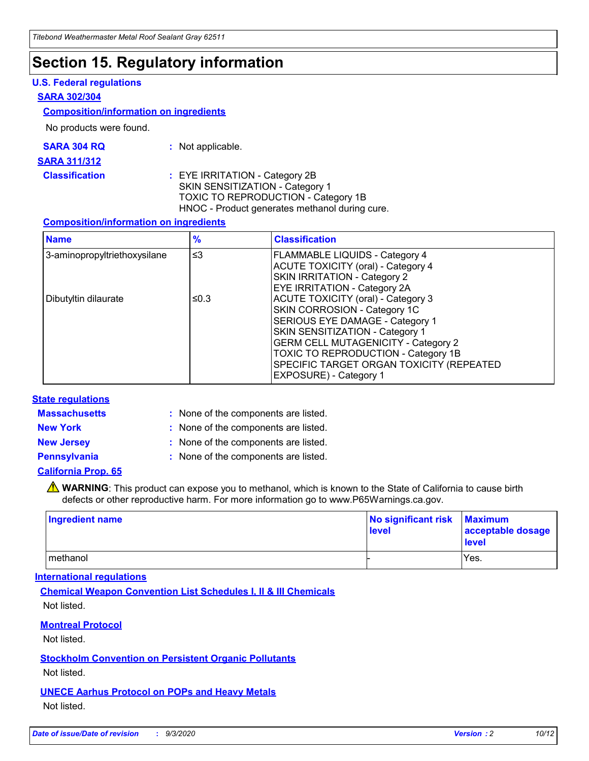### **Section 15. Regulatory information**

### **U.S. Federal regulations**

#### **SARA 302/304**

#### **Composition/information on ingredients**

No products were found.

| SARA 304 RQ | Not applicable. |
|-------------|-----------------|
|-------------|-----------------|

#### **SARA 311/312**

#### **Classification :** EYE IRRITATION - Category 2B SKIN SENSITIZATION - Category 1 TOXIC TO REPRODUCTION - Category 1B HNOC - Product generates methanol during cure.

### **Composition/information on ingredients**

| <b>Name</b>                  | $\frac{9}{6}$ | <b>Classification</b>                                                                                                                                                                                                                                                                                      |
|------------------------------|---------------|------------------------------------------------------------------------------------------------------------------------------------------------------------------------------------------------------------------------------------------------------------------------------------------------------------|
| 3-aminopropyltriethoxysilane | $\leq$ 3      | <b>FLAMMABLE LIQUIDS - Category 4</b><br><b>ACUTE TOXICITY (oral) - Category 4</b><br><b>SKIN IRRITATION - Category 2</b><br>EYE IRRITATION - Category 2A                                                                                                                                                  |
| Dibutyltin dilaurate         | ≤0.3          | <b>ACUTE TOXICITY (oral) - Category 3</b><br>SKIN CORROSION - Category 1C<br>SERIOUS EYE DAMAGE - Category 1<br>SKIN SENSITIZATION - Category 1<br><b>GERM CELL MUTAGENICITY - Category 2</b><br>TOXIC TO REPRODUCTION - Category 1B<br>SPECIFIC TARGET ORGAN TOXICITY (REPEATED<br>EXPOSURE) - Category 1 |

### **State regulations**

**Massachusetts :**

: None of the components are listed.

**New York :** None of the components are listed.

**New Jersey :** None of the components are listed.

**Pennsylvania :** None of the components are listed.

**California Prop. 65**

WARNING: This product can expose you to methanol, which is known to the State of California to cause birth defects or other reproductive harm. For more information go to www.P65Warnings.ca.gov.

| Ingredient name | No significant risk Maximum<br>level | acceptable dosage<br><b>level</b> |
|-----------------|--------------------------------------|-----------------------------------|
| I methanol      |                                      | Yes.                              |

### **International regulations**

**Chemical Weapon Convention List Schedules I, II & III Chemicals** Not listed.

**Montreal Protocol**

Not listed.

**Stockholm Convention on Persistent Organic Pollutants**

Not listed.

**UNECE Aarhus Protocol on POPs and Heavy Metals** Not listed.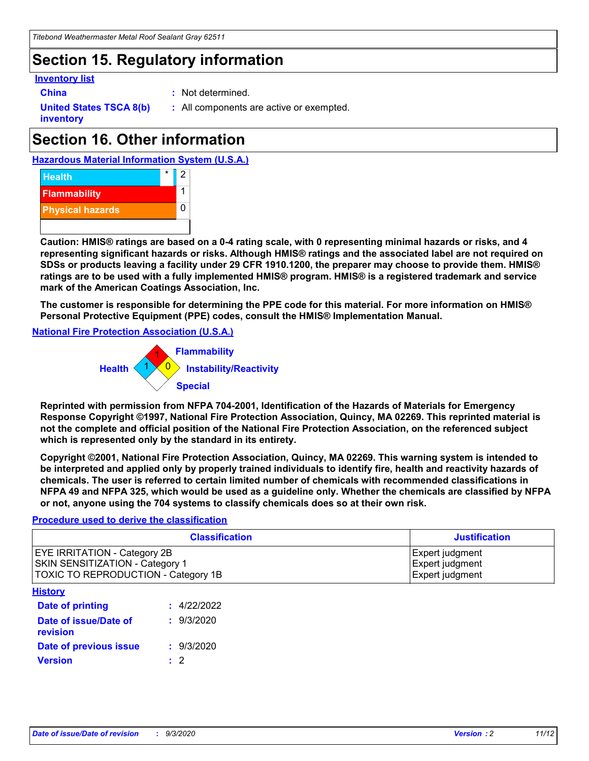### **Section 15. Regulatory information**

### **Inventory list**

- 
- **China :** Not determined.

**United States TSCA 8(b) inventory**

**:** All components are active or exempted.

## **Section 16. Other information**





**Caution: HMIS® ratings are based on a 0-4 rating scale, with 0 representing minimal hazards or risks, and 4 representing significant hazards or risks. Although HMIS® ratings and the associated label are not required on SDSs or products leaving a facility under 29 CFR 1910.1200, the preparer may choose to provide them. HMIS® ratings are to be used with a fully implemented HMIS® program. HMIS® is a registered trademark and service mark of the American Coatings Association, Inc.**

**The customer is responsible for determining the PPE code for this material. For more information on HMIS® Personal Protective Equipment (PPE) codes, consult the HMIS® Implementation Manual.**

**National Fire Protection Association (U.S.A.)**



**Reprinted with permission from NFPA 704-2001, Identification of the Hazards of Materials for Emergency Response Copyright ©1997, National Fire Protection Association, Quincy, MA 02269. This reprinted material is not the complete and official position of the National Fire Protection Association, on the referenced subject which is represented only by the standard in its entirety.**

**Copyright ©2001, National Fire Protection Association, Quincy, MA 02269. This warning system is intended to be interpreted and applied only by properly trained individuals to identify fire, health and reactivity hazards of chemicals. The user is referred to certain limited number of chemicals with recommended classifications in NFPA 49 and NFPA 325, which would be used as a guideline only. Whether the chemicals are classified by NFPA or not, anyone using the 704 systems to classify chemicals does so at their own risk.**

### **Procedure used to derive the classification**

| <b>Classification</b>                                                                                         | <b>Justification</b>                                  |
|---------------------------------------------------------------------------------------------------------------|-------------------------------------------------------|
| <b>EYE IRRITATION - Category 2B</b><br>SKIN SENSITIZATION - Category 1<br>TOXIC TO REPRODUCTION - Category 1B | Expert judgment<br>Expert judgment<br>Expert judgment |
| <b>History</b>                                                                                                |                                                       |

| .                                 |             |
|-----------------------------------|-------------|
| <b>Date of printing</b>           | : 4/22/2022 |
| Date of issue/Date of<br>revision | : 9/3/2020  |
| Date of previous issue            | : 9/3/2020  |
| <b>Version</b>                    | $\cdot$ 2   |
|                                   |             |